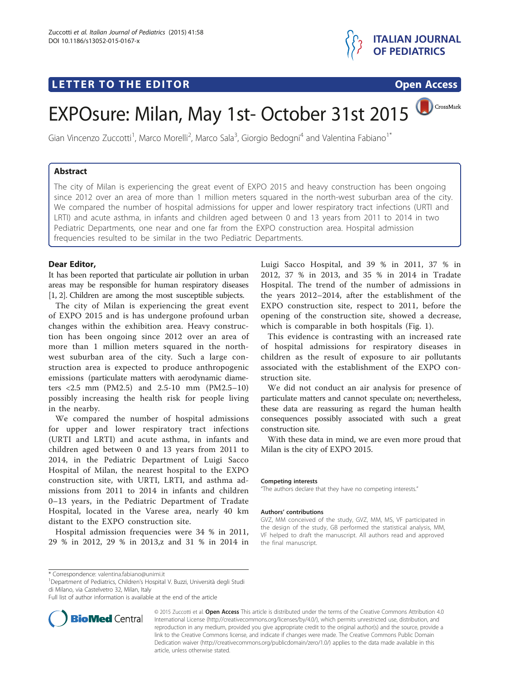# **LETTER TO THE EDITOR CONSIDERING ACCESS**



CrossMark

# EXPOsure: Milan, May 1st- October 31st 2015

Gian Vincenzo Zuccotti<sup>1</sup>, Marco Morelli<sup>2</sup>, Marco Sala<sup>3</sup>, Giorgio Bedogni<sup>4</sup> and Valentina Fabiano<sup>1\*</sup>

## Abstract

The city of Milan is experiencing the great event of EXPO 2015 and heavy construction has been ongoing since 2012 over an area of more than 1 million meters squared in the north-west suburban area of the city. We compared the number of hospital admissions for upper and lower respiratory tract infections (URTI and LRTI) and acute asthma, in infants and children aged between 0 and 13 years from 2011 to 2014 in two Pediatric Departments, one near and one far from the EXPO construction area. Hospital admission frequencies resulted to be similar in the two Pediatric Departments.

### Dear Editor,

It has been reported that particulate air pollution in urban areas may be responsible for human respiratory diseases [[1](#page-1-0), [2\]](#page-1-0). Children are among the most susceptible subjects.

The city of Milan is experiencing the great event of EXPO 2015 and is has undergone profound urban changes within the exhibition area. Heavy construction has been ongoing since 2012 over an area of more than 1 million meters squared in the northwest suburban area of the city. Such a large construction area is expected to produce anthropogenic emissions (particulate matters with aerodynamic diameters <2.5 mm (PM2.5) and 2.5-10 mm (PM2.5–10) possibly increasing the health risk for people living in the nearby.

We compared the number of hospital admissions for upper and lower respiratory tract infections (URTI and LRTI) and acute asthma, in infants and children aged between 0 and 13 years from 2011 to 2014, in the Pediatric Department of Luigi Sacco Hospital of Milan, the nearest hospital to the EXPO construction site, with URTI, LRTI, and asthma admissions from 2011 to 2014 in infants and children 0–13 years, in the Pediatric Department of Tradate Hospital, located in the Varese area, nearly 40 km distant to the EXPO construction site.

Hospital admission frequencies were 34 % in 2011, 29 % in 2012, 29 % in 2013,z and 31 % in 2014 in Luigi Sacco Hospital, and 39 % in 2011, 37 % in 2012, 37 % in 2013, and 35 % in 2014 in Tradate Hospital. The trend of the number of admissions in the years 2012–2014, after the establishment of the EXPO construction site, respect to 2011, before the opening of the construction site, showed a decrease, which is comparable in both hospitals (Fig. [1](#page-1-0)).

This evidence is contrasting with an increased rate of hospital admissions for respiratory diseases in children as the result of exposure to air pollutants associated with the establishment of the EXPO construction site.

We did not conduct an air analysis for presence of particulate matters and cannot speculate on; nevertheless, these data are reassuring as regard the human health consequences possibly associated with such a great construction site.

With these data in mind, we are even more proud that Milan is the city of EXPO 2015.

#### Competing interests

"The authors declare that they have no competing interests."

#### Authors' contributions

GVZ, MM conceived of the study, GVZ, MM, MS, VF participated in the design of the study, GB performed the statistical analysis, MM, VF helped to draft the manuscript. All authors read and approved the final manuscript.

Department of Pediatrics, Children's Hospital V. Buzzi, Università degli Studi di Milano, via Castelvetro 32, Milan, Italy

Full list of author information is available at the end of the article



© 2015 Zuccotti et al. Open Access This article is distributed under the terms of the Creative Commons Attribution 4.0 International License [\(http://creativecommons.org/licenses/by/4.0/\)](http://creativecommons.org/licenses/by/4.0/), which permits unrestricted use, distribution, and reproduction in any medium, provided you give appropriate credit to the original author(s) and the source, provide a link to the Creative Commons license, and indicate if changes were made. The Creative Commons Public Domain Dedication waiver ([http://creativecommons.org/publicdomain/zero/1.0/\)](http://creativecommons.org/publicdomain/zero/1.0/) applies to the data made available in this article, unless otherwise stated.

<sup>\*</sup> Correspondence: [valentina.fabiano@unimi.it](mailto:valentina.fabiano@unimi.it) <sup>1</sup>